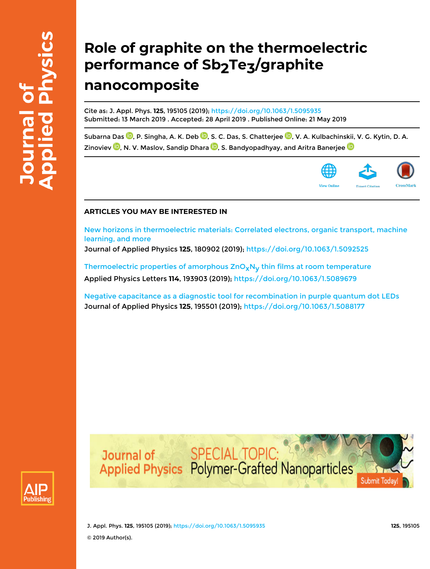# **Role of graphite on the thermoelectric** performance of Sb<sub>2</sub>Te<sub>3</sub>/graphite **nanocomposite**

Cite as: J. Appl. Phys. **125**, 195105 (2019); https://doi.org/10.1063/1.5095935 Submitted: 13 March 2019 . Accepted: 28 April 2019 . Published Online: 21 May 2019

Subarna Das <sup>10</sup>, P. Singha, A. K. Deb <sup>10</sup>, S. C. Das, S. Chatterjee <sup>10</sup>, V. A. Kulbachinskii, V. G. Kytin, D. A. Zinoviev  $\mathbf 0$ , N. V. Maslov, Sandip Dhara  $\mathbf 0$ , S. Bandyopadhyay, and Aritra Banerjee  $\mathbf 0$ 



### **ARTICLES YOU MAY BE INTERESTED IN**

New horizons in thermoelectric materials: Correlated electrons, organic transport, machine learning, and more

Journal of Applied Physics **125**, 180902 (2019); https://doi.org/10.1063/1.5092525

Thermoelectric properties of amorphous  $ZnO_xN_v$  thin films at room temperature Applied Physics Letters **114**, 193903 (2019); https://doi.org/10.1063/1.5089679

Negative capacitance as a diagnostic tool for recombination in purple quantum dot LEDs Journal of Applied Physics **125**, 195501 (2019); https://doi.org/10.1063/1.5088177





J. Appl. Phys. **125**, 195105 (2019); https://doi.org/10.1063/1.5095935 **125**, 195105 © 2019 Author(s).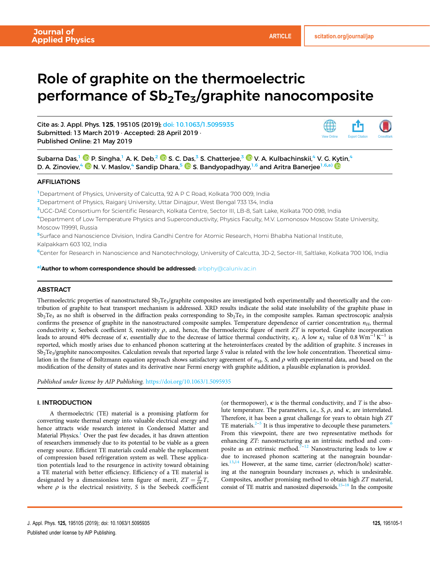## Role of graphite on the thermoelectric performance of  $Sb<sub>2</sub>Te<sub>3</sub>/graph$  ite nanocomposite

Cite as: J. Appl. Phys. 125, 195105 (2019); doi: 10.1063/1.5095935 Submitted: 13 March 2019 · Accepted: 28 April 2019 · Published Online: 21 May 2019



Subarna Das,<sup>1</sup> © P. Singha,<sup>1</sup> A. K. Deb,<sup>2</sup> © S. C. Das,<sup>3</sup> S. Chatterjee,<sup>3</sup> © V. A. Kulbachinskii,<sup>4</sup> V. G. Kytin,<sup>4</sup> D. A. Zinoviev,<sup>4</sup>  $\bullet$  N. V. Maslov,<sup>4</sup> Sandip Dhara,<sup>5</sup>  $\bullet$  S. Bandyopadhyay,<sup>1,6</sup> and Aritra Banerjee<sup>1,6,a)</sup>

#### AFFILIATIONS

<sup>1</sup>Department of Physics, University of Calcutta, 92 A P C Road, Kolkata 700 009, India

<sup>2</sup>Department of Physics, Raiganj University, Uttar Dinajpur, West Bengal 733 134, India

<sup>3</sup>UGC-DAE Consortium for Scientific Research, Kolkata Centre, Sector III, LB-8, Salt Lake, Kolkata 700 098, India

<sup>4</sup>Department of Low Temperature Physics and Superconductivity, Physics Faculty, M.V. Lomonosov Moscow State University, Moscow 119991, Russia

<sup>5</sup>Surface and Nanoscience Division, Indira Gandhi Centre for Atomic Research, Homi Bhabha National Institute,

Kalpakkam 603 102, India

<sup>6</sup>Center for Research in Nanoscience and Nanotechnology, University of Calcutta, JD-2, Sector-III, Saltlake, Kolkata 700 106, India

a) Author to whom correspondence should be addressed: arbphy@caluniv.ac.in

#### **ABSTRACT**

Thermoelectric properties of nanostructured  $\mathrm{Sb_2Te_3/g}$ raphite composites are investigated both experimentally and theoretically and the contribution of graphite to heat transport mechanism is addressed. XRD results indicate the solid state insolubility of the graphite phase in Sb<sub>2</sub>Te<sub>3</sub> as no shift is observed in the diffraction peaks corresponding to Sb<sub>2</sub>Te<sub>3</sub> in the composite samples. Raman spectroscopic analysis confirms the presence of graphite in the nanostructured composite samples. Temperature dependence of carrier concentration *nH*, thermal conductivity  $\kappa$ , Seebeck coefficient *S*, resistivity  $\rho$ , and, hence, the thermoelectric figure of merit *ZT* is reported. Graphite incorporation leads to around 40% decrease of  $\kappa$ , essentially due to the decrease of lattice thermal conductivity,  $\kappa_L$ . A low  $\kappa_L$  value of 0.8 Wm<sup>-1</sup>K<sup>-1</sup> is reported, which mostly arises due to enhanced phonon scattering at the heterointerfaces created by the addition of graphite. *S* increases in Sb2Te<sup>3</sup> /graphite nanocomposites. Calculation reveals that reported large *S* value is related with the low hole concentration. Theoretical simulation in the frame of Boltzmann equation approach shows satisfactory agreement of  $n_H$ , S, and  $\rho$  with experimental data, and based on the modification of the density of states and its derivative near Fermi energy with graphite addition, a plausible explanation is provided.

*Published under license by AIP Publishing.* https://doi.org/10.1063/1.5095935

#### I. INTRODUCTION

A thermoelectric (TE) material is a promising platform for converting waste thermal energy into valuable electrical energy and hence attracts wide research interest in Condensed Matter and Material Physics.<sup>1</sup> Over the past few decades, it has drawn attention of researchers immensely due to its potential to be viable as a green energy source. Efficient TE materials could enable the replacement of compression based refrigeration system as well. These application potentials lead to the resurgence in activity toward obtaining a TE material with better efficiency. Efficiency of a TE material is designated by a dimensionless term figure of merit,  $ZT = \frac{S^2}{\rho \kappa} T$ , where  $\rho$  is the electrical resistivity, *S* is the Seebeck coefficient

(or thermopower),  $\kappa$  is the thermal conductivity, and  $T$  is the absolute temperature. The parameters, i.e., *S*,  $\rho$ , and  $\kappa$ , are interrelated. Therefore, it has been a great challenge for years to obtain high *ZT* TE materials. $2-5$  It is thus imperative to decouple these parameters.<sup>6</sup> From this viewpoint, there are two representative methods for enhancing *ZT*: nanostructuring as an intrinsic method and composite as an extrinsic method.<sup> $7-12$ </sup> Nanostructuring leads to low  $\kappa$ due to increased phonon scattering at the nanograin boundaries.<sup>13,14</sup> However, at the same time, carrier (electron/hole) scattering at the nanograin boundary increases  $\rho$ , which is undesirable. Composites, another promising method to obtain high *ZT* material, consist of TE matrix and nanosized dispersoids.<sup>15–18</sup> In the composite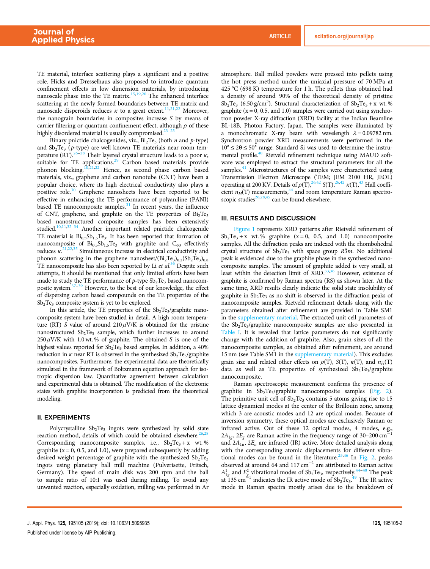TE material, interface scattering plays a significant and a positive role. Hicks and Dresselhaus also proposed to introduce quantum confinement effects in low dimension materials, by introducing nanoscale phase into the TE matrix. $15,19,20$  The enhanced interface scattering at the newly formed boundaries between TE matrix and nanoscale disperoids reduces  $\kappa$  to a great extent.<sup>11,21,22</sup> Moreover, the nanograin boundaries in composites increase *S* by means of carrier filtering or quantum confinement effect, although  $\rho$  of these highly disordered material is usually compromised. $23$ -

Binary pnictide chalcogenides, viz., Bi<sub>2</sub>Te<sub>3</sub> (both *n* and *p*-type) and Sb<sub>2</sub>Te<sub>3</sub> (p-type) are well known TE materials near room temperature (RT).<sup>26–28</sup> Their layered crystal structure leads to a poor  $\kappa$ , suitable for TE applications.<sup>29</sup> Carbon based materials provide phonon blocking.<sup>10,21,22</sup> Hence, as second phase carbon based materials, viz*.*, graphene and carbon nanotube (CNT) have been a popular choice, where its high electrical conductivity also plays a positive role.<sup>30</sup> Graphene nanosheets have been reported to be effective in enhancing the TE performance of polyaniline (PANI) based TE nanocomposite samples. $31$  In recent years, the influence of CNT, graphene, and graphite on the TE properties of  $Bi<sub>2</sub>Te<sub>3</sub>$ based nanostructured composite samples has been extensively studied.<sup>10,11,32-34</sup> Another important related pnictide chalcogenide TE material is  $Bi_{0.5}Sb_{1.5}Te_3$ . It has been reported that formation of nanocomposite of  $Bi<sub>0.5</sub>Sb<sub>1.5</sub>Te<sub>3</sub>$  with graphite and  $C<sub>60</sub>$  effectively reduces  $\kappa$ <sup>21,22,35</sup> Simultaneous increase in electrical conductivity and phonon scattering in the graphene nanosheet/ $(Bi_2Te_3)_{0.2} (Sb_2Te_3)_{0.8}$ TE nanocomposite has also been reported by Li *et al*. <sup>36</sup> Despite such attempts, it should be mentioned that only limited efforts have been made to study the TE performance of  $p$ -type  $Sb<sub>2</sub>Te<sub>3</sub>$  based nanocomposite system.37–<sup>39</sup> However, to the best of our knowledge, the effect of dispersing carbon based compounds on the TE properties of the  $Sb<sub>2</sub>Te<sub>3</sub>$  composite system is yet to be explored.

In this article, the TE properties of the Sb<sub>2</sub>Te<sub>3</sub>/graphite nanocomposite system have been studied in detail. A high room temperature (RT) *S* value of around  $210 \mu$ V/K is obtained for the pristine nanostructured  $Sb_2Te_3$  sample, which further increases to around 250 μV/K with 1.0 wt. % of graphite. The obtained *S* is one of the highest values reported for  $Sb<sub>2</sub>Te<sub>3</sub>$  based samples. In addition, a 40% reduction in  $\kappa$  near RT is observed in the synthesized  $\mathrm{Sb}_2\mathrm{Te}_3/\mathrm{graphite}$ nanocomposites. Furthermore, the experimental data are theoretically simulated in the framework of Boltzmann equation approach for isotropic dispersion law. Quantitative agreement between calculation and experimental data is obtained. The modification of the electronic states with graphite incorporation is predicted from the theoretical modeling.

#### II. EXPERIMENTS

Polycrystalline Sb<sub>2</sub>Te<sub>3</sub> ingots were synthesized by solid state reaction method, details of which could be obtained elsewhere.<sup>26</sup> Corresponding nanocomposite samples, i.e.,  $Sb_2Te_3 + x$  wt. % graphite ( $x = 0$ , 0.5, and 1.0), were prepared subsequently by adding desired weight percentage of graphite with the synthesized  $Sb<sub>2</sub>Te<sub>3</sub>$ ingots using planetary ball mill machine (Pulverisette, Fritsch, Germany). The speed of main disk was 200 rpm and the ball to sample ratio of 10:1 was used during milling. To avoid any unwanted reaction, especially oxidation, milling was performed in Ar atmosphere. Ball milled powders were pressed into pellets using the hot press method under the uniaxial pressure of 70 MPa at 425 °C (698 K) temperature for 1 h. The pellets thus obtained had a density of around 90% of the theoretical density of pristine  $Sb_2Te_3$  (6.50 g/cm<sup>3</sup>). Structural characterization of  $Sb_2Te_3 + x$  wt. % graphite ( $x = 0$ , 0.5, and 1.0) samples were carried out using synchrotron powder X-ray diffraction (XRD) facility at the Indian Beamline BL-18B, Photon Factory, Japan. The samples were illuminated by a monochromatic X-ray beam with wavelength  $\lambda = 0.09782$  nm. Synchrotron powder XRD measurements were performed in the  $10^{\circ} \leq 2\theta \leq 50^{\circ}$  range. Standard Si was used to determine the instrumental profile.<sup>40</sup> Rietveld refinement technique using MAUD software was employed to extract the structural parameters for all the samples.<sup>41</sup> Microstructures of the samples were characterized using Transmission Electron Microscope (TEM; JEM 2100 HR, JEOL) operating at 200 KV. Details of  $\rho(T)$ ,  $^{26,42}$  *S*(T),  $^{26,42}$  *k*(T),  $^{43}$  Hall coefficient  $n_H(T)$  measurements,<sup>44</sup> and room temperature Raman spectroscopic studies<sup>26,28,45</sup> can be found elsewhere.

#### III. RESULTS AND DISCUSSION

Figure 1 represents XRD patterns after Rietveld refinement of  $Sb<sub>2</sub>Te<sub>3</sub> + x$  wt. % graphite (x = 0, 0.5, and 1.0) nanocomposite samples. All the diffraction peaks are indexed with the rhombohedral crystal structure of  $Sb<sub>2</sub>Te<sub>3</sub>$  with space group  $R\overline{3}m$ . No additional peak is evidenced due to the graphite phase in the synthesized nanocomposite samples. The amount of graphite added is very small, at least within the detection limit of  $XRD$ ,  $33,36$  However, existence of graphite is confirmed by Raman spectra (RS) as shown later. At the same time, XRD results clearly indicate the solid state insolubility of graphite in  $Sb_2Te_3$  as no shift is observed in the diffraction peaks of nanocomposite samples. Rietveld refinement details along with the parameters obtained after refinement are provided in Table SM1 in the supplementary material. The extracted unit cell parameters of the Sb<sub>2</sub>Te<sub>3</sub>/graphite nanocomposite samples are also presented in Table I. It is revealed that lattice parameters do not significantly change with the addition of graphite. Also, grain sizes of all the nanocomposite samples, as obtained after refinement, are around 15 nm (see Table SM1 in the supplementary material). This excludes grain size and related other effects on  $\rho(T)$ , *S*(T),  $\kappa(T)$ , and  $n_H(T)$ data as well as TE properties of synthesized Sb<sub>2</sub>Te<sub>3</sub>/graphite nanocomposite.

Raman spectroscopic measurement confirms the presence of graphite in Sb<sub>2</sub>Te<sub>3</sub>/graphite nanocomposite samples (Fig. 2). The primitive unit cell of  $Sb<sub>2</sub>Te<sub>3</sub>$  contains 5 atoms giving rise to 15 lattice dynamical modes at the center of the Brillouin zone, among which 3 are acoustic modes and 12 are optical modes. Because of inversion symmetry, these optical modes are exclusively Raman or infrared active. Out of these 12 optical modes,  $\frac{4}{1000}$  modes, e.g.,  $2A_{1g}$ ,  $2E_g$  are Raman active in the frequency range of 30–200 cm<sup>-1</sup> and  $2A_{1u}$ ,  $2E_u$  are infrared (IR) active. More detailed analysis along with the corresponding atomic displacements for different vibrational modes can be found in the literature.<sup>25,46</sup> In Fig. 2, peaks observed at around 64 and 117 cm−<sup>1</sup> are attributed to Raman active  $A_{1g}^1$  and  $E_{g}^2$  vibrational modes of Sb<sub>2</sub>Te<sub>3</sub>, respectively.<sup>44–48</sup> The peak at 135 cm<sup> $\frac{8}{3}$ </sup> indicates the IR active mode of Sb<sub>2</sub>Te<sub>3</sub>.<sup>49</sup> The IR active mode in Raman spectra mostly arises due to the breakdown of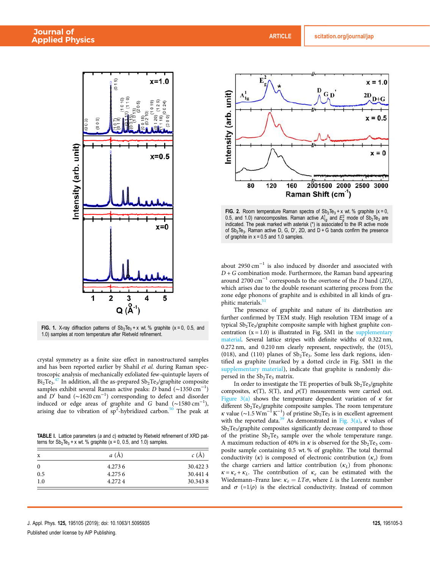

FIG. 1. X-ray diffraction patterns of  $Sb_2Te_3 + x$  wt. % graphite (x = 0, 0.5, and 1.0) samples at room temperature after Rietveld refinement.

crystal symmetry as a finite size effect in nanostructured samples and has been reported earlier by Shahil *et al.* during Raman spectroscopic analysis of mechanically exfoliated few-quintuple layers of  $Bi<sub>2</sub>Te<sub>3</sub>$ .<sup>47</sup> In addition, all the as-prepared  $Sb<sub>2</sub>Te<sub>3</sub>/graphite composite$ samples exhibit several Raman active peaks: *D* band (~1350 cm<sup>-1</sup>) and *D'* band (~1620 cm<sup>-1</sup>) corresponding to defect and disorder induced or edge areas of graphite and *G* band (∼1580 cm−<sup>1</sup> ), arising due to vibration of  $sp^2$ -hybridized carbon.<sup>50</sup> The peak at

TABLE I. Lattice parameters (a and c) extracted by Rietveld refinement of XRD patterns for  $Sb_2Te_3 + x$  wt. % graphite (x = 0, 0.5, and 1.0) samples.

| x   | a (A)  | c(A)    |
|-----|--------|---------|
|     | 4.2736 | 30.4223 |
| 0.5 | 4.2756 | 30.4414 |
| 1.0 | 4.2724 | 30.3438 |



FIG. 2. Room temperature Raman spectra of  $\text{Sb}_2\text{Te}_3$  + x wt. % graphite (x = 0, 0.5, and 1.0) nanocomposites. Raman active  $A_{1g}^1$  and  $E_g^2$  mode of Sb<sub>2</sub>Te<sub>3</sub> are indicated. The peak marked with asterisk (\*) is associated to the IR active mode of  $Sb<sub>2</sub>Te<sub>3</sub>$ . Raman active D, G, D', 2D, and D + G bands confirm the presence of graphite in  $x = 0.5$  and 1.0 samples.

about 2950 cm<sup>-1</sup> is also induced by disorder and associated with *D+G* combination mode. Furthermore, the Raman band appearing around 2700 cm−<sup>1</sup> corresponds to the overtone of the *D* band (*2D*), which arises due to the double resonant scattering process from the zone edge phonons of graphite and is exhibited in all kinds of graphitic materials.<sup>51</sup>

The presence of graphite and nature of its distribution are further confirmed by TEM study. High resolution TEM image of a typical Sb<sub>2</sub>Te<sub>3</sub>/graphite composite sample with highest graphite concentration  $(x = 1.0)$  is illustrated in Fig. SM1 in the supplementary material. Several lattice stripes with definite widths of 0.322 nm, 0.272 nm, and 0.210 nm clearly represent, respectively, the (015), (018), and (110) planes of  $Sb<sub>2</sub>Te<sub>3</sub>$ . Some less dark regions, identified as graphite (marked by a dotted circle in Fig. SM1 in the supplementary material), indicate that graphite is randomly dispersed in the  $Sb<sub>2</sub>Te<sub>3</sub>$  matrix.

In order to investigate the TE properties of bulk  $\mathrm{Sb}_2\mathrm{Te}_3/\mathrm{graph}$ ite composites,  $\kappa(T)$ , *S*(T), and  $\rho(T)$  measurements were carried out. Figure  $3(a)$  shows the temperature dependent variation of  $\kappa$  for different Sb<sub>2</sub>Te<sub>3</sub>/graphite composite samples. The room temperature *κ* value (~1.5  $\text{Wm}^{-1}\text{K}^{-1}$ ) of pristine Sb<sub>2</sub>Te<sub>3</sub> is in excellent agreement with the reported data.<sup>39</sup> As demonstrated in Fig. 3(a), κ values of Sb<sub>2</sub>Te<sub>3</sub>/graphite composites significantly decrease compared to those of the pristine  $Sb_2Te_3$  sample over the whole temperature range. A maximum reduction of 40% in  $\kappa$  is observed for the Sb<sub>2</sub>Te<sub>3</sub> composite sample containing 0.5 wt. % of graphite. The total thermal conductivity (κ) is composed of electronic contribution (κ*<sup>e</sup>* ) from the charge carriers and lattice contribution (κ*L*) from phonons:  $\kappa = \kappa_e + \kappa_L$ . The contribution of  $\kappa_e$  can be estimated with the Wiedemann–Franz law:  $\kappa_e = LT\sigma$ , where *L* is the Lorentz number and  $\sigma$  (=1/ $\rho$ ) is the electrical conductivity. Instead of common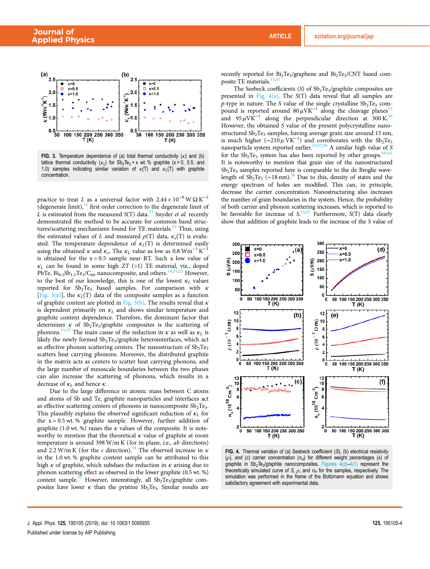

FIG. 3. Temperature dependence of (a) total thermal conductivity  $(\kappa)$  and (b) lattice thermal conductivity  $(\kappa_L)$  for  $\text{Sb}_2\text{Te}_3 + x$  wt. % graphite (x=0, 0.5, and 1.0) samples indicating similar variation of  $\kappa(T)$  and  $\kappa_L(T)$  with graphite concentration.

practice to treat *L* as a universal factor with  $2.44 \times 10^{-8}$  W  $\Omega$  K<sup>-2</sup> (degenerate limit), $52$  first order correction to the degenerate limit of *L* is estimated from the measured *S*(T) data.<sup>53</sup> Snyder *et al.* recently demonstrated the method to be accurate for common band structures/scattering mechanisms found for TE materials.<sup>53</sup> Thus, using the estimated values of *L* and measured  $\rho(T)$  data,  $\kappa_e(T)$  is evaluated. The temperature dependence of  $\kappa_L(T)$  is determined easily using the obtained  $\kappa$  and  $\kappa_e$ . The  $\kappa_L$  value as low as 0.8 Wm<sup>-1</sup> K<sup>-1</sup> is obtained for the  $x = 0.5$  sample near RT. Such a low value of  $\kappa_L$  can be found in some high *ZT* (>1) TE material, viz., doped PbTe,  $Bi_{0.5}Sb_{1.5}Te_3/C_{60}$  nanocomposite, and others.<sup>14,21,22</sup> However, to the best of our knowledge, this is one of the lowest  $\kappa_L$  values reported for  $Sb_2Te_3$  based samples. For comparison with  $\kappa$ [Fig. 3(a)], the  $\kappa_L(T)$  data of the composite samples as a function of graphite content are plotted in Fig. 3(b). The results reveal that  $\kappa$ is dependent primarily on  $\kappa_L$  and shows similar temperature and graphite content dependence. Therefore, the dominant factor that determines  $\kappa$  of Sb<sub>2</sub>Te<sub>3</sub>/graphite composites is the scattering of phonons.<sup>11,32</sup> The main cause of the reduction in  $\kappa$  as well as  $\kappa_l$  is likely the newly formed  $\mathrm{Sb_{2}Te_{3}}/\mathrm{graph}$ ite heterointerfaces, which act as effective phonon scattering centers. The nanostructure of  $Sb<sub>2</sub>Te<sub>3</sub>$ scatters heat carrying phonons. Moreover, the distributed graphite in the matrix acts as centers to scatter heat carrying phonons, and the large number of mesoscale boundaries between the two phases can also increase the scattering of phonons, which results in a decrease of  $\kappa_L$  and hence  $\kappa$ .

Due to the large difference in atomic mass between C atoms and atoms of Sb and Te, graphite nanoparticles and interfaces act as effective scattering centers of phonons in nanocomposite  $Sb<sub>2</sub>Te<sub>3</sub>$ . This plausibly explains the observed significant reduction of  $\kappa_L$  for the  $x = 0.5$  wt. % graphite sample. However, further addition of graphite (1.0 wt. %) raises the  $\kappa$  values of the composite. It is noteworthy to mention that the theoretical  $\kappa$  value of graphite at room temperature is around 398 W/m K (for in-plane, i.e., *ab* directions) and 2.2 W/m K (for the *c* direction).<sup>54</sup> The observed increase in  $\kappa$ in the 1.0 wt. % graphite content sample can be attributed to this high  $\kappa$  of graphite, which subdues the reduction in  $\kappa$  arising due to phonon scattering effect as observed in the lower graphite (0.5 wt. %) content sample.<sup>32</sup> However, interestingly, all  $\text{Sb}_2 \text{Te}_3$ /graphite composites have lower  $\kappa$  than the pristine  $Sb_2Te_3$ . Similar results are

recently reported for Bi<sub>2</sub>Te<sub>3</sub>/graphene and Bi<sub>2</sub>Te<sub>3</sub>/CNT based composite TE materials.<sup>11,32</sup>

The Seebeck coefficients (S) of  $Sb_2Te_3$ /graphite composites are presented in Fig. 4(a). The *S*(T) data reveal that all samples are *p*-type in nature. The *S* value of the single crystalline  $Sb<sub>2</sub>Te<sub>3</sub>$  compound is reported around  $80 \mu \text{V} \text{K}^{-1}$  along the cleavage planes<sup>55</sup> and  $95 \mu \text{V} \text{K}^{-1}$  along the perpendicular direction at 300 K.<sup>56</sup> However, the obtained *S* value of the present polycrystalline nanostructured  $Sb<sub>2</sub>Te<sub>3</sub>$  samples, having average grain size around 15 nm, is much higher ( $\sim$ 210 µ VK<sup>-1</sup>) and corroborates with the Sb<sub>2</sub>Te<sub>3</sub> nanoparticle system reported earlier.<sup>37,57,58</sup> A similar high value of *S* for the  $Sb_2Te_3$  system has also been reported by other groups.<sup>5</sup> It is noteworthy to mention that grain size of the nanostructured  $Sb<sub>2</sub>Te<sub>3</sub>$  samples reported here is comparable to the de Broglie wavelength of  $\overline{Sb_2Te_3}$  (~18 nm).<sup>58</sup> Due to this, density of states and the energy spectrum of holes are modified. This can, in principle, decrease the carrier concentration. Nanostructuring also increases the number of grain boundaries in the system. Hence, the probability of both carrier and phonon scattering increases, which is reported to be favorable for increase of *S*. 15,25 Furthermore, *S*(T) data clearly show that addition of graphite leads to the increase of the *S* value of



FIG. 4. Thermal variation of (a) Seebeck coefficient (S), (b) electrical resistivity ( $\rho$ ), and (c) carrier concentration ( $n_H$ ) for different weight percentages (x) of graphite in Sb<sub>2</sub>Te<sub>3</sub>/graphite nanocomposites. Figures 4(d)-4(f) represent the graphite in Sb<sub>2</sub>Te<sub>3</sub>/graphite nanocomposites. Figures  $4(d) - 4(f)$  represent the theoretically simulated curve of S,  $\rho$ , and  $n_H$  for the samples, respectively. The simulation was performed in the frame of the Boltzmann equation and shows satisfactory agreement with experimental data.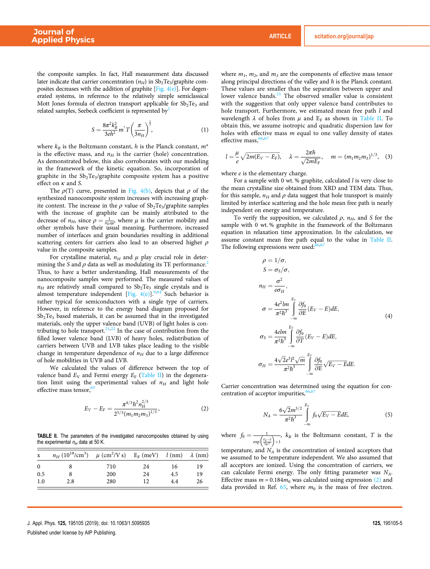the composite samples. In fact, Hall measurement data discussed later indicate that carrier concentration ( $n_H$ ) in Sb<sub>2</sub>Te<sub>3</sub>/graphite composites decreases with the addition of graphite  $[Fig. 4(e)]$ . For degenerated systems, in reference to the relatively simple semiclassical Mott Jones formula of electron transport applicable for  $Sb<sub>2</sub>Te<sub>3</sub>$  and related samples, Seebeck coefficient is represented by<sup>2</sup>

$$
S = \frac{8\pi^2 k_B^2}{3eh^2} m^* T \left(\frac{\pi}{3n_H}\right)^{\frac{2}{3}},
$$
 (1)

where  $k_B$  is the Boltzmann constant, *h* is the Planck constant,  $m^*$ is the effective mass, and  $n_H$  is the carrier (hole) concentration. As demonstrated below, this also corroborates with our modeling in the framework of the kinetic equation. So, incorporation of graphite in the Sb<sub>2</sub>Te<sub>3</sub>/graphite composite system has a positive effect on κ and *S*.

The  $\rho(T)$  curve, presented in Fig. 4(b), depicts that  $\rho$  of the synthesized nanocomposite system increases with increasing graphite content. The increase in the  $\rho$  value of  $\mathrm{Sb}_2\mathrm{Te}_3/\mathrm{graph}$ ite samples with the increase of graphite can be mainly attributed to the decrease of  $n_H$ , since  $\rho = \frac{1}{n_H e^{\mu}}$ , where  $\mu$  is the carrier mobility and other symbols have their usual meaning. Furthermore, increased number of interfaces and grain boundaries resulting in additional scattering centers for carriers also lead to an observed higher  $\rho$ value in the composite samples.

For crystalline material,  $n_H$  and  $\mu$  play crucial role in determining the *S* and  $\rho$  data as well as modulating its TE performance.<sup>2</sup> Thus, to have a better understanding, Hall measurements of the nanocomposite samples were performed. The measured values of  $n_H$  are relatively small compared to  $Sb_2Te_3$  single crystals and is almost temperature independent [Fig.  $4(e)$ ].<sup>9,64</sup> Such behavior is rather typical for semiconductors with a single type of carriers. However, in reference to the energy band diagram proposed for  $Sb<sub>2</sub>Te<sub>3</sub>$  based materials, it can be assumed that in the investigated materials, only the upper valence band (UVB) of light holes is contributing to hole transport.<sup>21,22</sup> In the case of contribution from the filled lower valence band (LVB) of heavy holes, redistribution of carriers between UVB and LVB takes place leading to the visible change in temperature dependence of  $n_H$  due to a large difference of hole mobilities in UVB and LVB.

We calculated the values of difference between the top of valence band  $E_V$  and Fermi energy  $E_F$  (Table II) in the degeneration limit using the experimental values of  $n_H$  and light hole effective mass tensor,<sup>6</sup>

$$
E_V - E_F = \frac{\pi^{4/3} \hbar^2 n_H^{2/3}}{2^{5/3} (m_1 m_2 m_3)^{1/3}},
$$
 (2)

TABLE II. The parameters of the investigated nanocomposites obtained by using the experimental  $n_H$  data at 50 K.

| $\mathbf x$ | $n_H (10^{18}/\text{cm}^3)$ $\mu$ (cm <sup>2</sup> /V s) E <sub>F</sub> (meV) $l$ (nm) $\lambda$ (nm) |     |    |     |    |
|-------------|-------------------------------------------------------------------------------------------------------|-----|----|-----|----|
| $\theta$    |                                                                                                       | 710 | 24 | 16  | 19 |
| 0.5         |                                                                                                       | 200 | 24 | 4.5 | 19 |
| 1.0         | 2.8                                                                                                   | 280 | 12 | 4.4 | 26 |

where  $m_1$ ,  $m_2$ , and  $m_3$  are the components of effective mass tensor along principal directions of the valley and  $\hbar$  is the Planck constant. These values are smaller than the separation between upper and lower valence bands.<sup>21</sup> The observed smaller value is consistent with the suggestion that only upper valence band contributes to hole transport. Furthermore, we estimated mean free path *l* and wavelength  $\lambda$  of holes from  $\mu$  and  $E_F$  as shown in Table II. To obtain this, we assume isotropic and quadratic dispersion law for holes with effective mass *m* equal to one valley density of states effective mass,<sup>66</sup>

$$
l = \frac{\mu}{e} \sqrt{2m(E_V - E_F)}, \quad \lambda = \frac{2\pi\hbar}{\sqrt{2mE_F}}, \quad m = (m_1 m_2 m_3)^{1/3}, \quad (3)
$$

where *e* is the elementary charge.

For a sample with 0 wt. % graphite, calculated *l* is very close to the mean crystalline size obtained from XRD and TEM data. Thus, for this sample,  $n_H$  and  $\rho$  data suggest that hole transport is mainly limited by interface scattering and the hole mean free path is nearly independent on energy and temperature.

To verify the supposition, we calculated  $\rho$ ,  $n_H$ , and *S* for the sample with 0 wt. % graphite in the framework of the Boltzmann equation in relaxation time approximation. In the calculation, we assume constant mean free path equal to the value in Table II. The following expressions were used:<sup>6</sup>

$$
\rho = 1/\sigma,
$$
  
\n
$$
S = \sigma_S/\sigma,
$$
  
\n
$$
n_H = \frac{\sigma^2}{e\sigma_H},
$$
  
\n
$$
\sigma = \frac{4e^2lm}{\pi^2\hbar^3} \int_{-\infty}^{E_V} \frac{\partial f_0}{\partial E} (E_V - E) dE,
$$
  
\n
$$
\sigma_S = \frac{4elm}{\pi^2\hbar^3} \int_{-\infty}^{E_V} \frac{\partial f_0}{\partial T} (E_V - E) dE,
$$
  
\n
$$
\sigma_H = \frac{4\sqrt{2}e^3l^2\sqrt{m}}{\pi^2\hbar^3} \int_{-\infty}^{E_V} \frac{\partial f_0}{\partial E} \sqrt{E_V - E} dE.
$$

Carrier concentration was determined using the equation for concentration of acceptor impurities,<sup>6</sup>

$$
N_A = \frac{6\sqrt{2}m^{3/2}}{\pi^2\hbar^3} \int_{-\infty}^{E_V} f_0 \sqrt{E_V - EdE},
$$
 (5)

where  $f_0 = \frac{1}{\exp\left(\frac{E_F - E}{k_B T}\right) + 1}$ ,  $k_B$  is the Boltzmann constant, *T* is the

temperature, and  $N_A$  is the concentration of ionized acceptors that we assumed to be temperature independent. We also assumed that all acceptors are ionized. Using the concentration of carriers, we can calculate Fermi energy. The only fitting parameter was *NA*. Effective mass  $m = 0.184m_0$  was calculated using expression (2) and data provided in Ref.  $65$ , where  $m_0$  is the mass of free electron.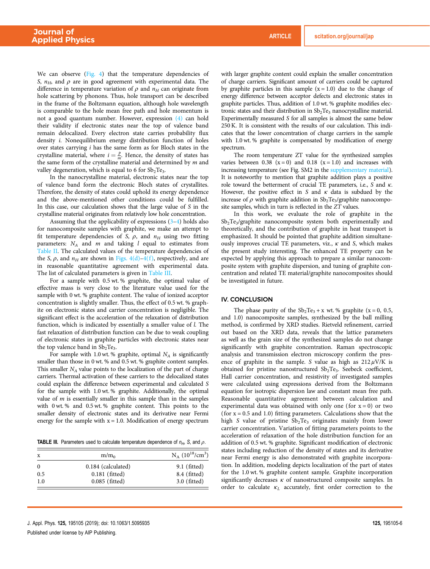We can observe (Fig. 4) that the temperature dependencies of *S*,  $n_H$ , and  $\rho$  are in good agreement with experimental data. The difference in temperature variation of  $\rho$  and  $n_H$  can originate from hole scattering by phonons. Thus, hole transport can be described in the frame of the Boltzmann equation, although hole wavelength is comparable to the hole mean free path and hole momentum is not a good quantum number. However, expression (4) can hold their validity if electronic states near the top of valence band remain delocalized. Every electron state carries probability flux density *i.* Nonequilibrium energy distribution function of holes over states carrying *i* has the same form as for Bloch states in the crystalline material, where  $i = \frac{p}{m}$ . Hence, the density of states has the same form of the crystalline material and determined by *m* and valley degeneration, which is equal to 6 for  $Sb_2Te_3$ .

In the nanocrystalline material, electronic states near the top of valence band form the electronic Bloch states of crystallites. Therefore, the density of states could uphold its energy dependence and the above-mentioned other conditions could be fulfilled. In this case, our calculation shows that the large value of *S* in the crystalline material originates from relatively low hole concentration.

Assuming that the applicability of expressions  $(3-4)$  holds also for nanocomposite samples with graphite, we make an attempt to fit temperature dependencies of *S*,  $\rho$ , and  $n_H$  using two fitting parameters: *N<sup>A</sup>* and *m* and taking *l* equal to estimates from Table II. The calculated values of the temperature dependencies of the *S*,  $\rho$ , and  $n_H$  are shown in Figs. 4(d)–4(f), respectively, and are in reasonable quantitative agreement with experimental data. The list of calculated parameters is given in Table III.

For a sample with 0.5 wt. % graphite, the optimal value of effective mass is very close to the literature value used for the sample with 0 wt. % graphite content. The value of ionized acceptor concentration is slightly smaller. Thus, the effect of 0.5 wt. % graphite on electronic states and carrier concentration is negligible. The significant effect is the acceleration of the relaxation of distribution function, which is indicated by essentially a smaller value of *l.* The fast relaxation of distribution function can be due to weak coupling of electronic states in graphite particles with electronic states near the top valence band in  $Sb_2Te_3$ .

For sample with 1.0 wt. % graphite, optimal  $N_A$  is significantly smaller than those in 0 wt. % and 0.5 wt. % graphite content samples. This smaller  $N_A$  value points to the localization of the part of charge carriers. Thermal activation of these carriers to the delocalized states could explain the difference between experimental and calculated *S* for the sample with 1.0 wt. % graphite. Additionally, the optimal value of *m* is essentially smaller in this sample than in the samples with 0 wt. % and 0.5 wt. % graphite content. This points to the smaller density of electronic states and its derivative near Fermi energy for the sample with  $x = 1.0$ . Modification of energy spectrum

**TABLE III.** Parameters used to calculate temperature dependence of  $n_H$ , S, and  $\rho$ .

| x   | m/m <sub>0</sub>   | $N_A (10^{18}/cm^3)$ |
|-----|--------------------|----------------------|
|     | 0.184 (calculated) | $9.1$ (fitted)       |
| 0.5 | $0.181$ (fitted)   | 8.4 (fitted)         |
| 1.0 | 0.085 (fitted)     | $3.0$ (fitted)       |

Published under license by AIP Publishing.

with larger graphite content could explain the smaller concentration of charge carriers. Significant amount of carriers could be captured by graphite particles in this sample  $(x = 1.0)$  due to the change of energy difference between acceptor defects and electronic states in graphite particles. Thus, addition of 1.0 wt. % graphite modifies electronic states and their distribution in  $Sb<sub>2</sub>Te<sub>3</sub>$  nanocrystalline material. Experimentally measured *S* for all samples is almost the same below 250 K. It is consistent with the results of our calculation. This indicates that the lower concentration of charge carriers in the sample with 1.0 wt. % graphite is compensated by modification of energy spectrum.

The room temperature ZT value for the synthesized samples varies between  $0.38$  ( $x = 0$ ) and  $0.18$  ( $x = 1.0$ ) and increases with increasing temperature (see Fig. SM2 in the supplementary material). It is noteworthy to mention that graphite addition plays a positive role toward the betterment of crucial TE parameters, i.e., *S* and κ. However, the positive effect in *S* and  $\kappa$  data is subdued by the increase of  $\rho$  with graphite addition in  $\mathrm{Sb}_2\mathrm{Te}_3$ /graphite nanocomposite samples, which in turn is reflected in the *ZT* values.

In this work, we evaluate the role of graphite in the Sb<sub>2</sub>Te<sub>3</sub>/graphite nanocomposite system both experimentally and theoretically, and the contribution of graphite in heat transport is emphasized. It should be pointed that graphite addition simultaneously improves crucial TE parameters, viz*.*, κ and *S*, which makes the present study interesting. The enhanced TE property can be expected by applying this approach to prepare a similar nanocomposite system with graphite dispersion, and tuning of graphite concentration and related TE material/graphite nanocomposites should be investigated in future.

#### IV. CONCLUSION

The phase purity of the  $Sb_2Te_3 + x$  wt. % graphite (x = 0, 0.5, and 1.0) nanocomposite samples, synthesized by the ball milling method, is confirmed by XRD studies. Rietveld refinement, carried out based on the XRD data, reveals that the lattice parameters as well as the grain size of the synthesized samples do not change significantly with graphite concentration. Raman spectroscopic analysis and transmission electron microscopy confirm the presence of graphite in the sample. *S* value as high as  $212 \mu$ V/K is obtained for pristine nanostructured Sb<sub>2</sub>Te<sub>3</sub>. Seebeck coefficient, Hall carrier concentration, and resistivity of investigated samples were calculated using expressions derived from the Boltzmann equation for isotropic dispersion law and constant mean free path. Reasonable quantitative agreement between calculation and experimental data was obtained with only one (for  $x = 0$ ) or two (for  $x = 0.5$  and 1.0) fitting parameters. Calculations show that the high *S* value of pristine Sb<sub>2</sub>Te<sub>3</sub> originates mainly from lower carrier concentration. Variation of fitting parameters points to the acceleration of relaxation of the hole distribution function for an addition of 0.5 wt. % graphite. Significant modification of electronic states including reduction of the density of states and its derivative near Fermi energy is also demonstrated with graphite incorporation. In addition, modeling depicts localization of the part of states for the 1.0 wt. % graphite content sample. Graphite incorporation significantly decreases  $\kappa$  of nanostructured composite samples. In order to calculate κ*<sup>L</sup>* accurately, first order correction to the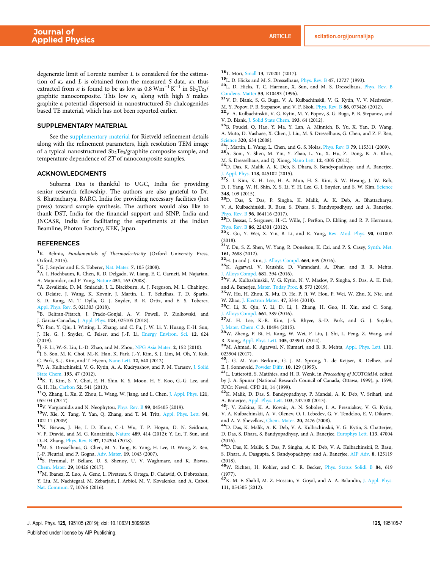degenerate limit of Lorentz number *L* is considered for the estimation of  $\kappa_e$  and *L* is obtained from the measured *S* data.  $\kappa_L$  thus extracted from  $\kappa$  is found to be as low as 0.8  $Wm^{-1}K^{-1}$  in  $Sb_2Te_3$ / graphite nanocomposite. This low κ*<sup>L</sup>* along with high *S* makes graphite a potential dispersoid in nanostructured Sb chalcogenides based TE material, which has not been reported earlier.

#### SUPPLEMENTARY MATERIAL

See the supplementary material for Rietveld refinement details along with the refinement parameters, high resolution TEM image of a typical nanostructured Sb<sub>2</sub>Te<sub>3</sub>/graphite composite sample, and temperature dependence of *ZT* of nanocomposite samples.

#### ACKNOWLEDGMENTS

Subarna Das is thankful to UGC, India for providing senior research fellowship. The authors are also grateful to Dr. S. Bhattacharya, BARC, India for providing necessary facilities (hot press) toward sample synthesis. The authors would also like to thank DST, India for the financial support and SINP, India and JNCASR, India for facilitating the experiments at the Indian Beamline, Photon Factory, KEK, Japan.

#### REFERENCES

<sup>1</sup>K. Behnia, *Fundamentals of Thermoelectricity* (Oxford University Press, Oxford, 2015).

<sup>2</sup>G. J. Snyder and E. S. Toberer, Nat. Mater. 7, 105 (2008).

<sup>3</sup>A. I. Hochbaum, R. Chen, R. D. Delgado, W. Liang, E. C. Garnett, M. Najarian, A. Majumdar, and P. Yang, Nature 451, 163 (2008).

<sup>4</sup>A. Zevalkink, D. M. Smiadak, J. L. Blackburn, A. J. Ferguson, M. L. Chabinyc, O. Delaire, J. Wang, K. Kovnir, J. Martin, L. T. Schelhas, T. D. Sparks, S. D. Kang, M. T. Dylla, G. J. Snyder, B. R. Ortiz, and E. S. Toberer,

Appl. Phys. Rev. 5, 021303 (2018). 5 B. Beltran-Pitarch, J. Prado-Gonjal, A. V. Powell, P. Ziolkowski, and

J. Garcia-Canadas, J. Appl. Phys. 124, 025105 (2018).

6 Y. Pan, Y. Qiu, I. Witting, L. Zhang, and C. Fu, J. W. Li, Y. Huang, F.-H. Sun, J. He, G. J. Snyder, C. Felser, and J.-F. Li, Energy Environ. Sci. 12, 624 (2019).

7 J.-F. Li, W.-S. Liu, L.-D. Zhao, and M. Zhou, NPG Asia Mater. 2, 152 (2010).

8 J. S. Son, M. K. Choi, M.-K. Han, K. Park, J.-Y. Kim, S. J. Lim, M. Oh, Y. Kuk, C. Park, S.-J. Kim, and T. Hyeon, Nano Lett. 12, 640 (2012).

<sup>9</sup>V. A. Kulbachinskii, V. G. Kytin, A. A. Kudryashov, and P. M. Tarasov, J. Solid State Chem. **193**, 47 (2012).

<sup>10</sup>K. T. Kim, S. Y. Choi, E. H. Shin, K. S. Moon. H. Y. Koo, G.-G. Lee, and G. H. Ha, Carbon 52, 541 (2013).

<sup>11</sup>Q. Zhang, L. Xu, Z. Zhou, L. Wang, W. Jiang, and L. Chen, J. Appl. Phys. 121, 055104 (2017).

<sup>12</sup>V. Vargiamidis and N. Neophytou, Phys. Rev. B 99, 045405 (2019).

<sup>13</sup>W. Xie, X. Tang, Y. Yan, Q. Zhang, and T. M. Tritt, Appl. Phys. Lett. 94, 102111 (2009).

<sup>14</sup>K. Biswas, J. He, I. D. Blum, C.-I. Wu, T. P. Hogan, D. N. Seidman, V. P. Dravid, and M. G. Kanatzidis, Nature 489, 414 (2012); Y. Lu, T. Sun, and D.-B. Zhang, Phys. Rev. B 97, 174304 (2018).

<sup>15</sup>M. S. Dresselhaus, G. Chen, M. Y. Tang, R. Yang, H. Lee, D. Wang, Z. Ren, J.-P. Fleurial, and P. Gogna, Adv. Mater. 19, 1043 (2007).

<sup>16</sup>S. Perumal, P. Bellare, U. S. Shenoy, U. V. Waghmare, and K. Biswas, Chem. Mater. 29, 10426 (2017).

<sup>17</sup>M. Ibanez, Z. Luo, A. Genc, L. Piveteau, S. Ortega, D. Cadavid, O. Dobrozhan, Y. Liu, M. Nachtegaal, M. Zebarjadi, J. Arbiol, M. V. Kovalenko, and A. Cabot, Nat. Commun. 7, 10766 (2016).

<sup>18</sup>T. Mori, *Small* 13, 170201 (2017).

<sup>19</sup>L. D. Hicks and M. S. Dresselhaus, Phys. Rev. B 47, 12727 (1993).

<sup>20</sup>L. D. Hicks, T. C. Harman, X. Sun, and M. S. Dresselhaus, Phys. Rev. B Condens. Matter 53, R10493 (1996).

<sup>21</sup>V. D. Blank, S. G. Buga, V. A. Kulbachinskii, V. G. Kytin, V. V. Medvedev, M. Y. Popov, P. B. Stepanov, and V. F. Skok, Phys. Rev. B 86, 075426 (2012).

<sup>22</sup>V. A. Kulbachinskii, V. G. Kytin, M. Y. Popov, S. G. Buga, P. B. Stepanov, and V. D. Blank, J. Solid State Chem. 193, 64 (2012).

<sup>23</sup>B. Poudel, Q. Hao, Y. Ma, Y. Lan, A. Minnich, B. Yu, X. Yan, D. Wang, A. Muto, D. Vashaee, X. Chen, J. Liu, M. S. Dresselhaus, G. Chen, and Z. F. Ren, Science 320, 634 (2008).

<sup>24</sup>J. Martin, L. Wang, L. Chen, and G. S. Nolas, Phys. Rev. B 79, 115311 (2009).

<sup>25</sup>A. Soni, Y. Shen, M. Yin, Y. Zhao, L. Yu, X. Hu, Z. Dong, K. A. Khor, M. S. Dresselhaus, and Q. Xiong, Nano Lett. 12, 4305 (2012).

<sup>26</sup>D. Das, K. Malik, A. K. Deb, S. Dhara, S. Bandyopadhyay, and A. Banerjee, Appl. Phys. 118, 045102 (2015).

<sup>27</sup>S. I. Kim, K. H. Lee, H. A. Mun, H. S. Kim, S. W. Hwang, J. W. Roh, D. J. Yang, W. H. Shin, X. S. Li, Y. H. Lee, G. J. Snyder, and S. W. Kim, Science 348, 109 (2015).

<sup>28</sup>D. Das, S. Das, P. Singha, K. Malik, A. K. Deb, A. Bhattacharya, V. A. Kulbachinskii, R. Basu, S. Dhara, S. Bandyopadhyay, and A. Banerjee, Phys. Rev. B 96, 064116 (2017).

<sup>29</sup>D. Bessas, I. Sergueev, H.-C. Wille, J. Perßon, D. Ebling, and R. P. Hermann, Phys. Rev. B 86, 224301 (2012).

<sup>30</sup>X. Gu, Y. Wei, X. Yin, B. Li, and R. Yang, Rev. Mod. Phys. 90, 041002 (2018).

<sup>31</sup>Y. Du, S. Z. Shen, W. Yang, R. Donelson, K. Cai, and P. S. Casey, Synth. Met. 161, 2688 (2012).

<sup>32</sup>H. Ju and J. Kim, J. Alloys Compd. 664, 639 (2016).

<sup>33</sup>K. Agarwal, V. Kaushik, D. Varandani, A. Dhar, and B. R. Mehta, Alloys Compd. **681**, 394 (2016).

<sup>34</sup>V. A. Kulbashinskii, V. G. Kytin, N. V. Maslov, P. Singha, S. Das, A. K. Deb, and A. Banerjee, Mater. Today Proc. 8, 573 (2019).

<sup>35</sup>W. Hu, H. Zhou, X. Mu, D. He, P. Ji, W. Hou, P. Wei, W. Zhu, X. Nie, and W. Zhao, J. Electron Mater. 47, 3344 (2018).

<sup>36</sup>C. Li, X. Qin, Y. Li, D. Li, J. Zhang, H. Guo, H. Xin, and C. Song, J. Alloys Compd. 661, 389 (2016).

<sup>37</sup>M. H. Lee, K.-R. Kim, J.-S. Rhyee, S.-D. Park, and G. J. Snyder, J. Mater. Chem. C 3, 10494 (2015).

<sup>38</sup>W. Zheng, P. Bi, H. Kang, W. Wei, F. Liu, J. Shi, L. Peng, Z. Wang, and R. Xiong, Appl. Phys. Lett. 105, 023901 (2014).

<sup>39</sup>M. Ahmad, K. Agarwal, N. Kumari, and B. R. Mehta, Appl. Phys. Lett. 111, 023904 (2017).

<sup>40</sup>J. G. M. Van Berkum, G. J. M. Sprong, T. de Keijser, R. Delhez, and E. J. Sonneveld, Powder Diffr. 10, 129 (1995).

<sup>41</sup>L. Lutterotti, S. Matthies, and H. R. Wenk, in *Proceeding of ICOTOM14*, edited by J. A. Spunar (National Research Council of Canada, Ottawa, 1999), p. 1599; IUCr: Newsl. CPD 21, 14 (1999).

<sup>42</sup>K. Malik, D. Das, S. Bandyopadhyay, P. Mandal, A. K. Deb, V. Srihari, and A. Banerjee, Appl. Phys. Lett. 103, 242108 (2013).

<sup>43</sup>J. V. Zaikina, K. A. Kovnir, A. N. Sobolev, I. A. Presniakov, V. G. Kytin, V. A. Kulbachinskii, A. V. Olenev, O. I. Lebedev, G. V. Tendeloo, E. V. Dikarev, and A. V. Shevelkov, Chem. Mater. 20, 2476 (2008).

<sup>44</sup>D. Das, K. Malik, A. K. Deb, V. A. Kulbachinskii, V. G. Kytin, S. Chatterjee, D. Das, S. Dhara, S. Bandyopadhyay, and A. Banerjee, Europhys Lett. 113, 47004 (2016).

<sup>45</sup>D. Das, K. Malik, S. Das, P. Singha, A. K. Deb, V. A. Kulbachinskii, R. Basu, S. Dhara, A. Dasgupta, S. Bandyopadhyay, and A. Banerjee, AIP Adv. 8, 125119 (2018).

<sup>46</sup>W. Richter, H. Kohler, and C. R. Becker, Phys. Status Solidi B 84, 619 (1977).

<sup>47</sup>K. M. F. Shahil, M. Z. Hossain, V. Goyal, and A. A. Balandin, J. Appl. Phys. 111, 054305 (2012).